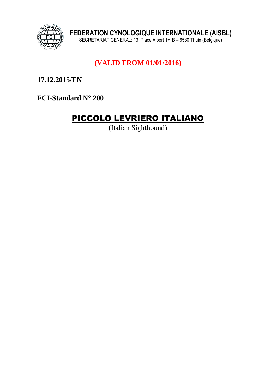

# **\_\_\_\_\_\_\_\_\_\_\_\_\_\_\_\_\_\_\_\_\_\_\_\_\_\_\_\_\_\_\_\_\_\_\_\_\_\_\_\_\_\_\_\_\_\_\_\_\_\_\_\_\_\_\_\_\_\_\_\_\_\_\_ (VALID FROM 01/01/2016)**

**17.12.2015/EN** 

**FCI-Standard N° 200**

# PICCOLO LEVRIERO ITALIANO

(Italian Sighthound)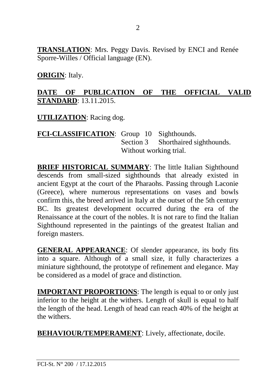**TRANSLATION**: Mrs. Peggy Davis. Revised by ENCI and Renée Sporre-Willes / Official language (EN).

**ORIGIN**: Italy.

#### **DATE OF PUBLICATION OF THE OFFICIAL VALID STANDARD**: 13.11.2015.

**UTILIZATION**: Racing dog.

**FCI-CLASSIFICATION**: Group 10 Sighthounds. Section 3 Shorthaired sighthounds. Without working trial.

**BRIEF HISTORICAL SUMMARY**: The little Italian Sighthound descends from small-sized sighthounds that already existed in ancient Egypt at the court of the Pharaohs. Passing through Laconie (Greece), where numerous representations on vases and bowls confirm this, the breed arrived in Italy at the outset of the 5th century BC. Its greatest development occurred during the era of the Renaissance at the court of the nobles. It is not rare to find the Italian Sighthound represented in the paintings of the greatest Italian and foreign masters.

**GENERAL APPEARANCE**: Of slender appearance, its body fits into a square. Although of a small size, it fully characterizes a miniature sighthound, the prototype of refinement and elegance. May be considered as a model of grace and distinction.

**IMPORTANT PROPORTIONS:** The length is equal to or only just inferior to the height at the withers. Length of skull is equal to half the length of the head. Length of head can reach 40% of the height at the withers.

**BEHAVIOUR/TEMPERAMENT**: Lively, affectionate, docile.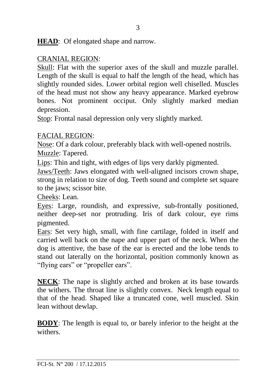**HEAD**: Of elongated shape and narrow.

#### CRANIAL REGION:

Skull: Flat with the superior axes of the skull and muzzle parallel. Length of the skull is equal to half the length of the head, which has slightly rounded sides. Lower orbital region well chiselled. Muscles of the head must not show any heavy appearance. Marked eyebrow bones. Not prominent occiput. Only slightly marked median depression.

Stop: Frontal nasal depression only very slightly marked.

#### FACIAL REGION:

Nose: Of a dark colour, preferably black with well-opened nostrils. Muzzle: Tapered.

Lips: Thin and tight, with edges of lips very darkly pigmented.

Jaws/Teeth: Jaws elongated with well-aligned incisors crown shape, strong in relation to size of dog. Teeth sound and complete set square to the jaws; scissor bite.

Cheeks: Lean.

Eyes: Large, roundish, and expressive, sub-frontally positioned, neither deep-set nor protruding. Iris of dark colour, eye rims pigmented.

Ears: Set very high, small, with fine cartilage, folded in itself and carried well back on the nape and upper part of the neck. When the dog is attentive, the base of the ear is erected and the lobe tends to stand out laterally on the horizontal, position commonly known as "flying ears" or "propeller ears".

**NECK**: The nape is slightly arched and broken at its base towards the withers. The throat line is slightly convex. Neck length equal to that of the head. Shaped like a truncated cone, well muscled. Skin lean without dewlap.

**BODY**: The length is equal to, or barely inferior to the height at the withers.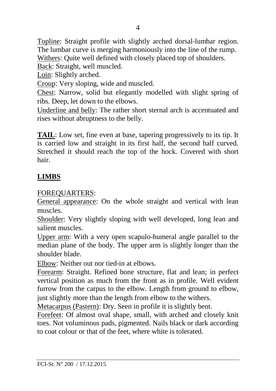Topline: Straight profile with slightly arched dorsal-lumbar region. The lumbar curve is merging harmoniously into the line of the rump. Withers: Quite well defined with closely placed top of shoulders.

Back: Straight, well muscled.

Loin: Slightly arched.

Croup: Very sloping, wide and muscled.

Chest: Narrow, solid but elegantly modelled with slight spring of ribs. Deep, let down to the elbows.

Underline and belly: The rather short sternal arch is accentuated and rises without abruptness to the belly.

**TAIL**: Low set, fine even at base, tapering progressively to its tip. It is carried low and straight in its first half, the second half curved. Stretched it should reach the top of the hock. Covered with short hair.

## **LIMBS**

FOREQUARTERS:

General appearance: On the whole straight and vertical with lean muscles.

Shoulder: Very slightly sloping with well developed, long lean and salient muscles.

Upper arm: With a very open scapulo-humeral angle parallel to the median plane of the body. The upper arm is slightly longer than the shoulder blade.

Elbow: Neither out nor tied-in at elbows.

Forearm: Straight. Refined bone structure, flat and lean; in perfect vertical position as much from the front as in profile. Well evident furrow from the carpus to the elbow. Length from ground to elbow, just slightly more than the length from elbow to the withers.

Metacarpus (Pastern): Dry. Seen in profile it is slightly bent.

Forefeet: Of almost oval shape, small, with arched and closely knit toes. Not voluminous pads, pigmented. Nails black or dark according to coat colour or that of the feet, where white is tolerated.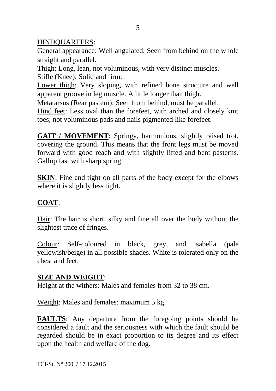#### HINDQUARTERS:

General appearance: Well angulated. Seen from behind on the whole straight and parallel.

Thigh: Long, lean, not voluminous, with very distinct muscles.

Stifle (Knee): Solid and firm.

Lower thigh: Very sloping, with refined bone structure and well apparent groove in leg muscle. A little longer than thigh.

Metatarsus (Rear pastern): Seen from behind, must be parallel.

Hind feet: Less oval than the forefeet, with arched and closely knit toes; not voluminous pads and nails pigmented like forefeet.

GAIT / MOVEMENT: Springy, harmonious, slightly raised trot, covering the ground. This means that the front legs must be moved forward with good reach and with slightly lifted and bent pasterns. Gallop fast with sharp spring.

**SKIN**: Fine and tight on all parts of the body except for the elbows where it is slightly less tight.

## **COAT**:

Hair: The hair is short, silky and fine all over the body without the slightest trace of fringes.

Colour: Self-coloured in black, grey, and isabella (pale yellowish/beige) in all possible shades. White is tolerated only on the chest and feet.

#### **SIZE AND WEIGHT**:

Height at the withers: Males and females from 32 to 38 cm.

Weight: Males and females: maximum 5 kg.

**FAULTS**: Any departure from the foregoing points should be considered a fault and the seriousness with which the fault should be regarded should be in exact proportion to its degree and its effect upon the health and welfare of the dog.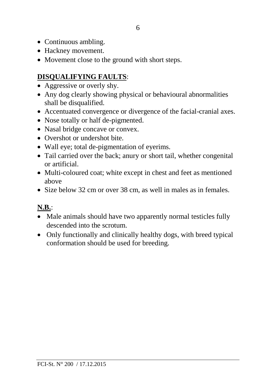- Continuous ambling.
- Hackney movement.
- Movement close to the ground with short steps.

# **DISQUALIFYING FAULTS**:

- Aggressive or overly shy.
- Any dog clearly showing physical or behavioural abnormalities shall be disqualified.
- Accentuated convergence or divergence of the facial-cranial axes.
- Nose totally or half de-pigmented.
- Nasal bridge concave or convex.
- Overshot or undershot bite.
- Wall eye; total de-pigmentation of eyerims.
- Tail carried over the back; anury or short tail, whether congenital or artificial.
- Multi-coloured coat; white except in chest and feet as mentioned above
- Size below 32 cm or over 38 cm, as well in males as in females.

# **N.B.**:

- Male animals should have two apparently normal testicles fully descended into the scrotum.
- Only functionally and clinically healthy dogs, with breed typical conformation should be used for breeding.